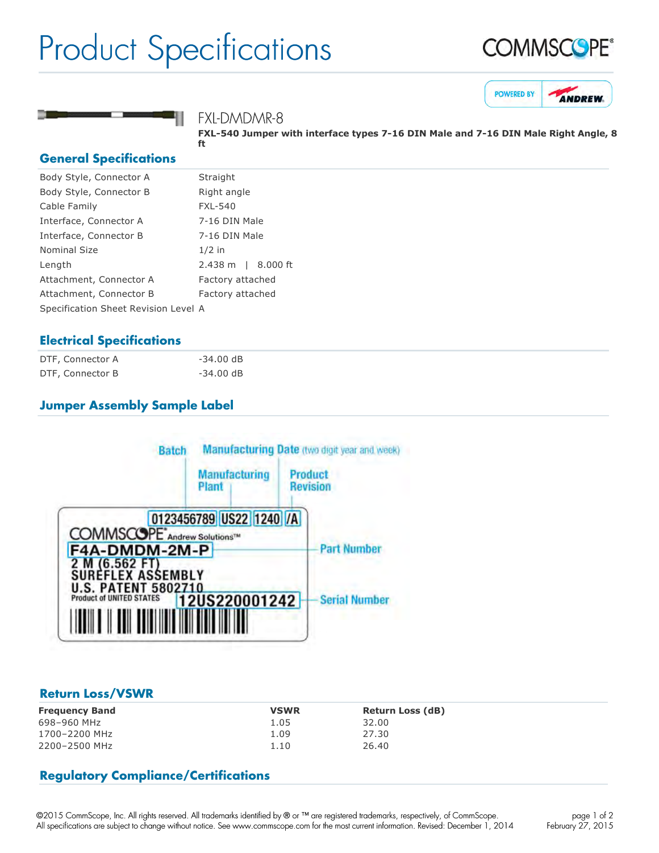# Product Specifications







## FXL-DMDMR-8

**FXL540 Jumper with interface types 716 DIN Male and 716 DIN Male Right Angle, 8 ft**

#### **General Specifications**

| Body Style, Connector A              | Straight                     |
|--------------------------------------|------------------------------|
| Body Style, Connector B              | Right angle                  |
| Cable Family                         | <b>FXL-540</b>               |
| Interface, Connector A               | 7-16 DIN Male                |
| Interface, Connector B               | 7-16 DIN Male                |
| Nominal Size                         | $1/2$ in                     |
| Length                               | $2.438 \text{ m}$   8.000 ft |
| Attachment, Connector A              | Factory attached             |
| Attachment, Connector B              | Factory attached             |
| Specification Sheet Revision Level A |                              |

### **Electrical Specifications**

| DTF, Connector A | $-34.00$ dB |
|------------------|-------------|
| DTF, Connector B | $-34.00$ dB |

### **Jumper Assembly Sample Label**



### **Return Loss/VSWR**

| <b>Frequency Band</b> | <b>VSWR</b> | <b>Return Loss (dB)</b> |
|-----------------------|-------------|-------------------------|
| 698-960 MHz           | 1.05        | 32.00                   |
| 1700-2200 MHz         | 1.09        | 27.30                   |
| 2200-2500 MHz         | 1.10        | 26.40                   |

### **Regulatory Compliance/Certifications**

©2015 CommScope, Inc. All rights reserved. All trademarks identified by ® or ™ are registered trademarks, respectively, of CommScope. All specifications are subject to change without notice. See www.commscope.com for the most current information. Revised: December 1, 2014